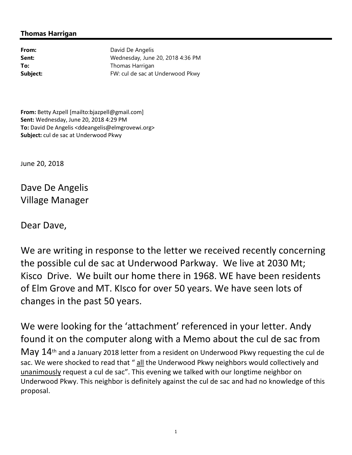## **Thomas Harrigan**

From: David De Angelis **Sent:** Wednesday, June 20, 2018 4:36 PM **To:** Thomas Harrigan **Subject:** FW: cul de sac at Underwood Pkwy

**From:** Betty Azpell [mailto:bjazpell@gmail.com] **Sent:** Wednesday, June 20, 2018 4:29 PM **To:** David De Angelis <ddeangelis@elmgrovewi.org> **Subject:** cul de sac at Underwood Pkwy

June 20, 2018

Dave De Angelis Village Manager

Dear Dave,

We are writing in response to the letter we received recently concerning the possible cul de sac at Underwood Parkway. We live at 2030 Mt; Kisco Drive. We built our home there in 1968. WE have been residents of Elm Grove and MT. KIsco for over 50 years. We have seen lots of changes in the past 50 years.

We were looking for the 'attachment' referenced in your letter. Andy found it on the computer along with a Memo about the cul de sac from May  $14$ <sup>th</sup> and a January 2018 letter from a resident on Underwood Pkwy requesting the cul de sac. We were shocked to read that " all the Underwood Pkwy neighbors would collectively and unanimously request a cul de sac". This evening we talked with our longtime neighbor on Underwood Pkwy. This neighbor is definitely against the cul de sac and had no knowledge of this proposal.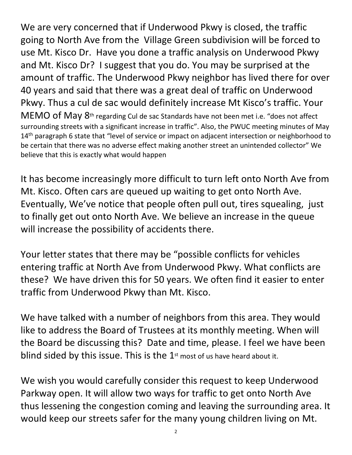We are very concerned that if Underwood Pkwy is closed, the traffic going to North Ave from the Village Green subdivision will be forced to use Mt. Kisco Dr. Have you done a traffic analysis on Underwood Pkwy and Mt. Kisco Dr? I suggest that you do. You may be surprised at the amount of traffic. The Underwood Pkwy neighbor has lived there for over 40 years and said that there was a great deal of traffic on Underwood Pkwy. Thus a cul de sac would definitely increase Mt Kisco's traffic. Your MEMO of May  $8<sup>th</sup>$  regarding Cul de sac Standards have not been met i.e. "does not affect surrounding streets with a significant increase in traffic". Also, the PWUC meeting minutes of May 14<sup>th</sup> paragraph 6 state that "level of service or impact on adjacent intersection or neighborhood to be certain that there was no adverse effect making another street an unintended collector" We believe that this is exactly what would happen

It has become increasingly more difficult to turn left onto North Ave from Mt. Kisco. Often cars are queued up waiting to get onto North Ave. Eventually, We've notice that people often pull out, tires squealing, just to finally get out onto North Ave. We believe an increase in the queue will increase the possibility of accidents there.

Your letter states that there may be "possible conflicts for vehicles entering traffic at North Ave from Underwood Pkwy. What conflicts are these? We have driven this for 50 years. We often find it easier to enter traffic from Underwood Pkwy than Mt. Kisco.

We have talked with a number of neighbors from this area. They would like to address the Board of Trustees at its monthly meeting. When will the Board be discussing this? Date and time, please. I feel we have been blind sided by this issue. This is the  $1<sup>st</sup>$  most of us have heard about it.

We wish you would carefully consider this request to keep Underwood Parkway open. It will allow two ways for traffic to get onto North Ave thus lessening the congestion coming and leaving the surrounding area. It would keep our streets safer for the many young children living on Mt.